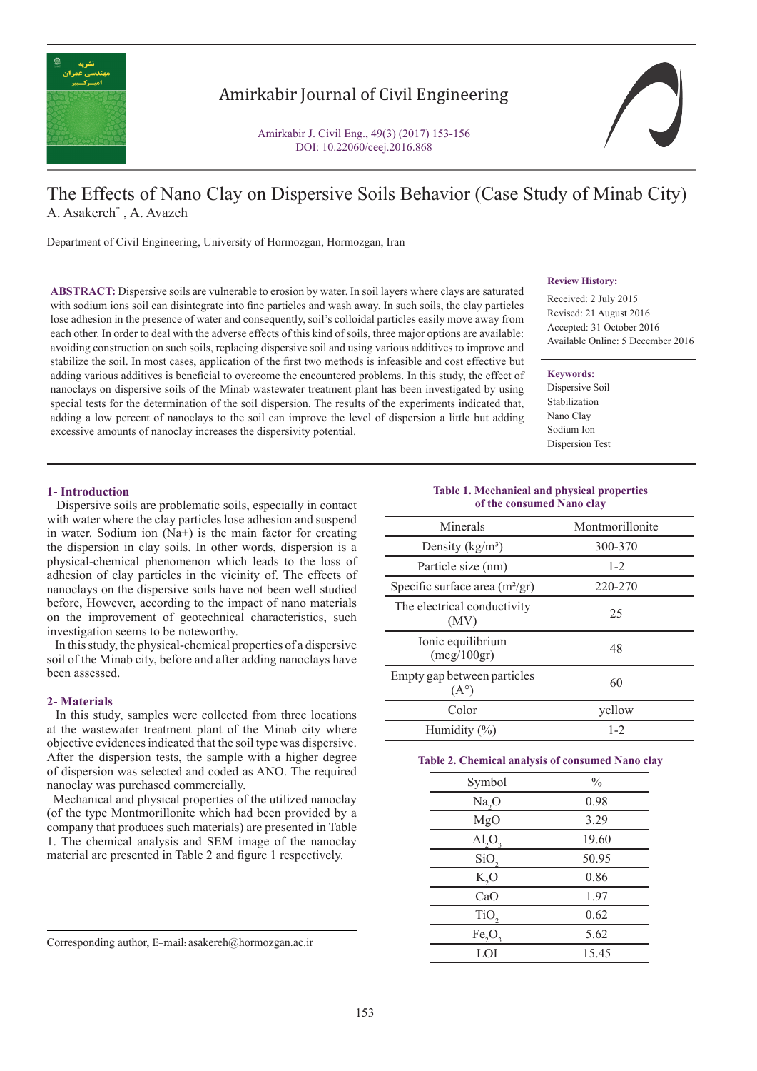

# Amirkabir Journal of Civil Engineering

Amirkabir J. Civil Eng., 49(3) (2017) 153-156 DOI: 10.22060/ceej.2016.868

# The Effects of Nano Clay on Dispersive Soils Behavior (Case Study of Minab City) A. Asakereh\* , A. Avazeh

Department of Civil Engineering, University of Hormozgan, Hormozgan, Iran

**ABSTRACT:** Dispersive soils are vulnerable to erosion by water. In soil layers where clays are saturated with sodium ions soil can disintegrate into fine particles and wash away. In such soils, the clay particles lose adhesion in the presence of water and consequently, soil's colloidal particles easily move away from each other. In order to deal with the adverse effects of this kind of soils, three major options are available: avoiding construction on such soils, replacing dispersive soil and using various additives to improve and stabilize the soil. In most cases, application of the first two methods is infeasible and cost effective but adding various additives is beneficial to overcome the encountered problems. In this study, the effect of nanoclays on dispersive soils of the Minab wastewater treatment plant has been investigated by using special tests for the determination of the soil dispersion. The results of the experiments indicated that, adding a low percent of nanoclays to the soil can improve the level of dispersion a little but adding excessive amounts of nanoclay increases the dispersivity potential.

# **Review History:**

Received: 2 July 2015 Revised: 21 August 2016 Accepted: 31 October 2016 Available Online: 5 December 2016

#### **Keywords:**

Dispersive Soil Stabilization Nano Clay Sodium Ion Dispersion Test

# **1- Introduction**

 Dispersive soils are problematic soils, especially in contact with water where the clay particles lose adhesion and suspend in water. Sodium ion (Na+) is the main factor for creating the dispersion in clay soils. In other words, dispersion is a physical-chemical phenomenon which leads to the loss of adhesion of clay particles in the vicinity of. The effects of nanoclays on the dispersive soils have not been well studied before, However, according to the impact of nano materials on the improvement of geotechnical characteristics, such investigation seems to be noteworthy.

 In this study, the physical-chemical properties of a dispersive soil of the Minab city, before and after adding nanoclays have been assessed.

### **2- Materials**

 In this study, samples were collected from three locations at the wastewater treatment plant of the Minab city where objective evidences indicated that the soil type was dispersive. After the dispersion tests, the sample with a higher degree of dispersion was selected and coded as ANO. The required nanoclay was purchased commercially.

 Mechanical and physical properties of the utilized nanoclay (of the type Montmorillonite which had been provided by a company that produces such materials) are presented in Table 1. The chemical analysis and SEM image of the nanoclay material are presented in Table 2 and figure 1 respectively.

Corresponding author, E-mail: asakereh@hormozgan.ac.ir

#### **Table 1. Mechanical and physical properties of the consumed Nano clay**

| Minerals                                     | Montmorillonite |
|----------------------------------------------|-----------------|
| Density $(kg/m3)$                            | 300-370         |
| Particle size (nm)                           | $1 - 2$         |
| Specific surface area $(m^2/gr)$             | 220-270         |
| The electrical conductivity<br>(MV)          | 25              |
| Ionic equilibrium<br>(meg/100gr)             | 48              |
| Empty gap between particles<br>$(A^{\circ})$ | 60              |
| Color                                        | vellow          |
| Humidity $(\%)$                              | $1 - 2$         |

## **Table 2. Chemical analysis of consumed Nano clay**

| Symbol            | $\%$  |
|-------------------|-------|
| Na <sub>2</sub> O | 0.98  |
| MgO               | 3.29  |
| AI, O,            | 19.60 |
| SiO,              | 50.95 |
| K, O              | 0.86  |
| CaO               | 1.97  |
| TiO,              | 0.62  |
| Fe,O              | 5.62  |
| LOI               | 15.45 |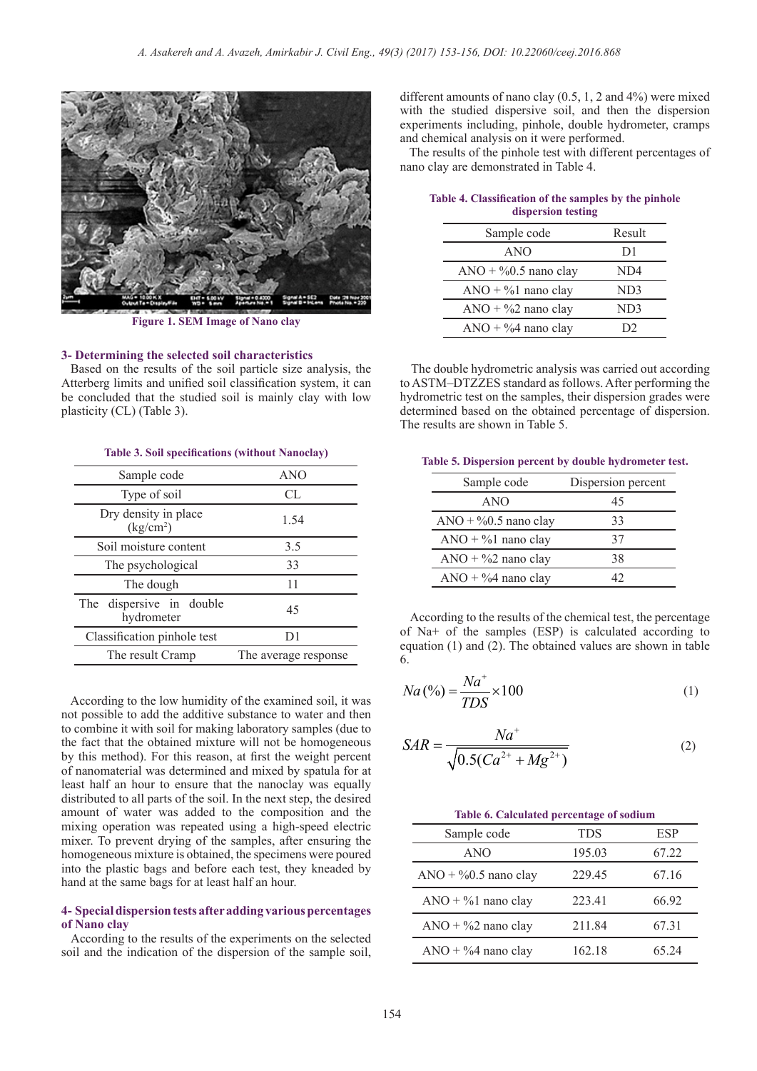

**Figure 1. SEM Image of Nano clay**

#### **3- Determining the selected soil characteristics**

 Based on the results of the soil particle size analysis, the Atterberg limits and unified soil classification system, it can be concluded that the studied soil is mainly clay with low plasticity (CL) (Table 3).

#### **Table 3. Soil specifications (without Nanoclay)**

| Sample code                                   | ANO                  |
|-----------------------------------------------|----------------------|
| Type of soil                                  | CL.                  |
| Dry density in place<br>(kg/cm <sup>2</sup> ) | 1.54                 |
| Soil moisture content                         | 3.5                  |
| The psychological                             | 33                   |
| The dough                                     | 11                   |
| The dispersive in double<br>hydrometer        | 45                   |
| Classification pinhole test                   | D1                   |
| The result Cramp                              | The average response |

 According to the low humidity of the examined soil, it was not possible to add the additive substance to water and then to combine it with soil for making laboratory samples (due to the fact that the obtained mixture will not be homogeneous by this method). For this reason, at first the weight percent of nanomaterial was determined and mixed by spatula for at least half an hour to ensure that the nanoclay was equally distributed to all parts of the soil. In the next step, the desired amount of water was added to the composition and the mixing operation was repeated using a high-speed electric mixer. To prevent drying of the samples, after ensuring the homogeneous mixture is obtained, the specimens were poured into the plastic bags and before each test, they kneaded by hand at the same bags for at least half an hour.

## **4- Special dispersion tests after adding various percentages of Nano clay**

 According to the results of the experiments on the selected soil and the indication of the dispersion of the sample soil,

different amounts of nano clay (0.5, 1, 2 and 4%) were mixed with the studied dispersive soil, and then the dispersion experiments including, pinhole, double hydrometer, cramps and chemical analysis on it were performed.

 The results of the pinhole test with different percentages of nano clay are demonstrated in Table 4.

| Sample code              | Result         |
|--------------------------|----------------|
| <b>ANO</b>               | D <sub>1</sub> |
| ANO + $\%$ 0.5 nano clay | ND4            |
| $ANO + \%1$ nano clay    | ND3            |
| ANO + $\%$ 2 nano clay   | ND3            |
| $ANO + \%4$ nano clay    | D2             |

| Table 4. Classification of the samples by the pinhole |                    |  |
|-------------------------------------------------------|--------------------|--|
|                                                       | dispersion testing |  |

 The double hydrometric analysis was carried out according to ASTM–DTZZES standard as follows. After performing the hydrometric test on the samples, their dispersion grades were determined based on the obtained percentage of dispersion. The results are shown in Table 5.

**Table 5. Dispersion percent by double hydrometer test.**

| Sample code             | Dispersion percent |
|-------------------------|--------------------|
| ANO                     | 45                 |
| $ANO + \%0.5$ nano clay | 33                 |
| $ANO + \%1$ nano clay   | 37                 |
| $ANO + \%2$ nano clay   | 38                 |
| $ANO + \%4$ nano clay   |                    |

 According to the results of the chemical test, the percentage of Na+ of the samples (ESP) is calculated according to equation (1) and (2). The obtained values are shown in table 6.

$$
Na\left(\%\right) = \frac{Na^+}{TDS} \times 100\tag{1}
$$

$$
SAR = \frac{Na^{+}}{\sqrt{0.5(Ca^{2+} + Mg^{2+})}}
$$
 (2)

| Table 6. Calculated percentage of sodium |            |       |  |
|------------------------------------------|------------|-------|--|
| Sample code                              | <b>TDS</b> | ESP   |  |
| ANO                                      | 195.03     | 67.22 |  |
| ANO + $\%$ 0.5 nano clay                 | 229.45     | 67.16 |  |
| $ANO + \%1$ nano clay                    | 223.41     | 66.92 |  |
| $ANO + \%2$ nano clay                    | 211.84     | 67.31 |  |
| $ANO + \%4$ nano clay                    | 162.18     | 65 24 |  |